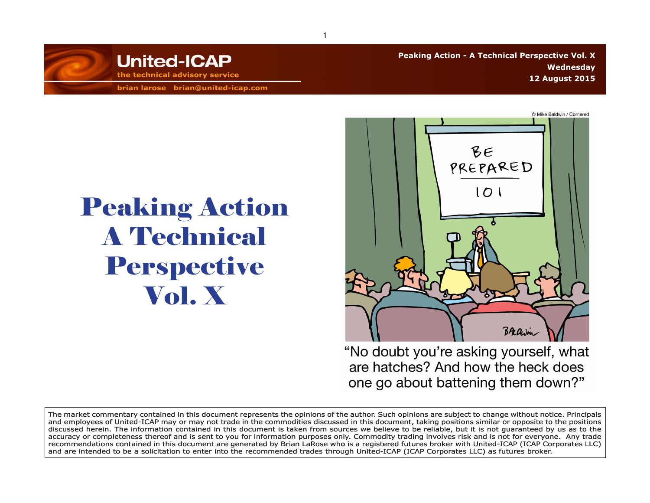

**brian larose brian@united-icap.com**

Peaking Action

A Technical

Perspective

Vol. X

**Peaking Action - A Technical Perspective Vol. X Wednesday 12 August 2015 the technical advisory service**



"No doubt you're asking yourself, what are hatches? And how the heck does one go about battening them down?"

The market commentary contained in this document represents the opinions of the author. Such opinions are subject to change without notice. Principals and employees of United-ICAP may or may not trade in the commodities discussed in this document, taking positions similar or opposite to the positions discussed herein. The information contained in this document is taken from sources we believe to be reliable, but it is not guaranteed by us as to the accuracy or completeness thereof and is sent to you for information purposes only. Commodity trading involves risk and is not for everyone. Any trade recommendations contained in this document are generated by Brian LaRose who is a registered futures broker with United-ICAP (ICAP Corporates LLC) and are intended to be a solicitation to enter into the recommended trades through United-ICAP (ICAP Corporates LLC) as futures broker.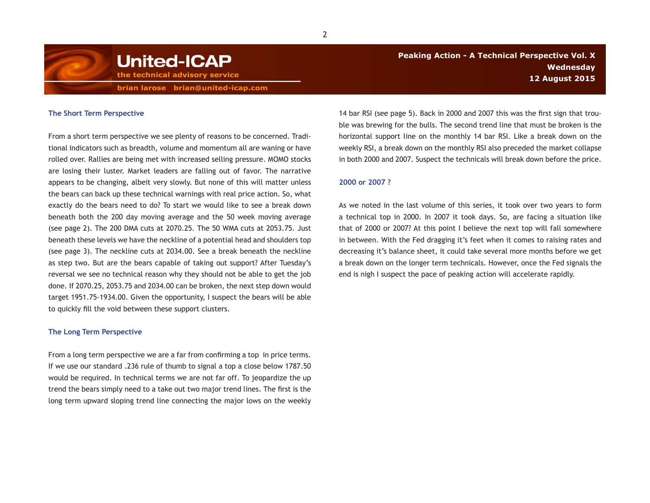

**brian larose brian@united-icap.com**

## **The Short Term Perspective**

From a short term perspective we see plenty of reasons to be concerned. Traditional indicators such as breadth, volume and momentum all are waning or have rolled over. Rallies are being met with increased selling pressure. MOMO stocks are losing their luster. Market leaders are falling out of favor. The narrative appears to be changing, albeit very slowly. But none of this will matter unless the bears can back up these technical warnings with real price action. So, what exactly do the bears need to do? To start we would like to see a break down beneath both the 200 day moving average and the 50 week moving average (see page 2). The 200 DMA cuts at 2070.25. The 50 WMA cuts at 2053.75. Just beneath these levels we have the neckline of a potential head and shoulders top (see page 3). The neckline cuts at 2034.00. See a break beneath the neckline as step two. But are the bears capable of taking out support? After Tuesday's reversal we see no technical reason why they should not be able to get the job done. If 2070.25, 2053.75 and 2034.00 can be broken, the next step down would target 1951.75-1934.00. Given the opportunity, I suspect the bears will be able to quickly fill the void between these support clusters.

## **The Long Term Perspective**

From a long term perspective we are a far from confirming a top in price terms. If we use our standard .236 rule of thumb to signal a top a close below 1787.50 would be required. In technical terms we are not far off. To jeopardize the up trend the bears simply need to a take out two major trend lines. The first is the long term upward sloping trend line connecting the major lows on the weekly

14 bar RSI (see page 5). Back in 2000 and 2007 this was the first sign that trouble was brewing for the bulls. The second trend line that must be broken is the horizontal support line on the monthly 14 bar RSI. Like a break down on the weekly RSI, a break down on the monthly RSI also preceded the market collapse in both 2000 and 2007. Suspect the technicals will break down before the price.

## **2000 or 2007 ?**

As we noted in the last volume of this series, it took over two years to form a technical top in 2000. In 2007 it took days. So, are facing a situation like that of 2000 or 2007? At this point I believe the next top will fall somewhere in between. With the Fed dragging it's feet when it comes to raising rates and decreasing it's balance sheet, it could take several more months before we get a break down on the longer term technicals. However, once the Fed signals the end is nigh I suspect the pace of peaking action will accelerate rapidly.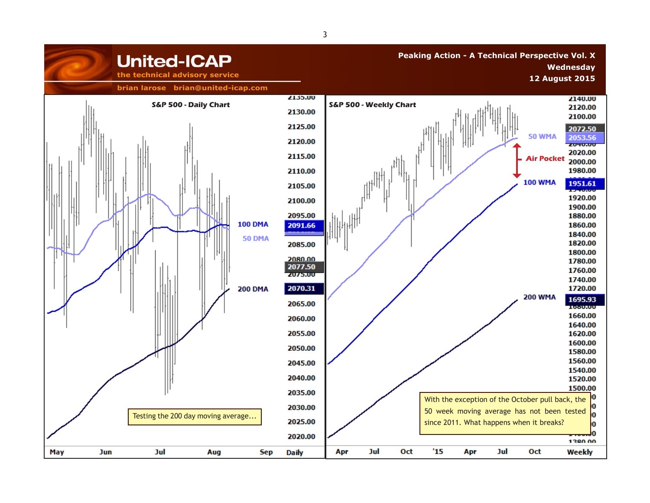

3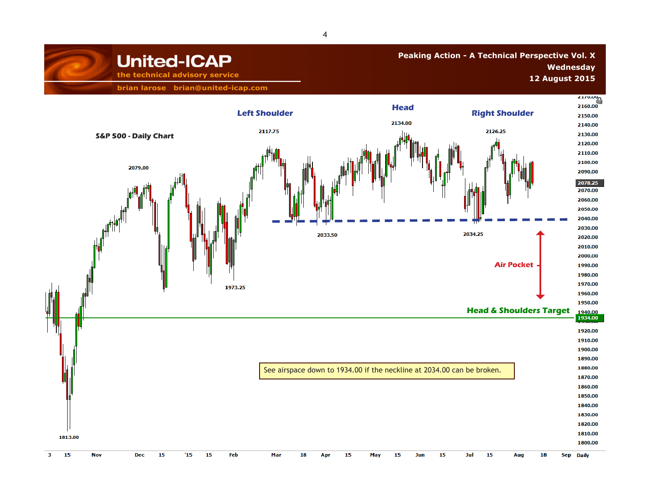## **Peaking Action - A Technical Perspective Vol. X Wednesday 12 August 2015** the technical advisory service **the contract of the contract of the contract of the contract of the contract of the contract of the contract of the contract of the contract of the contract of the contract**

**brian larose brian@united-icap.com**

**United-ICAP** 

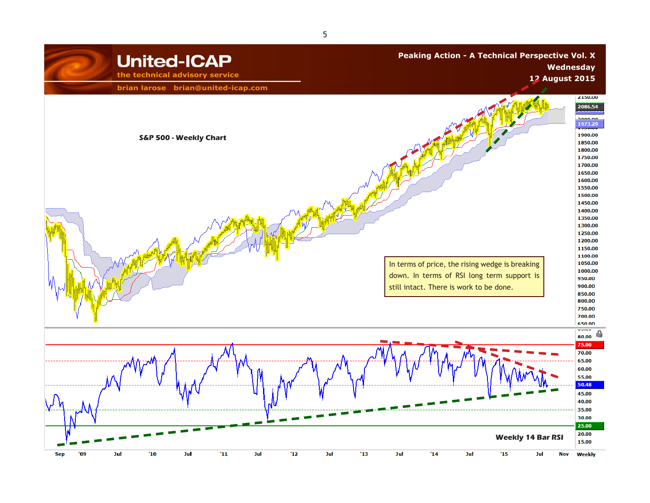

5